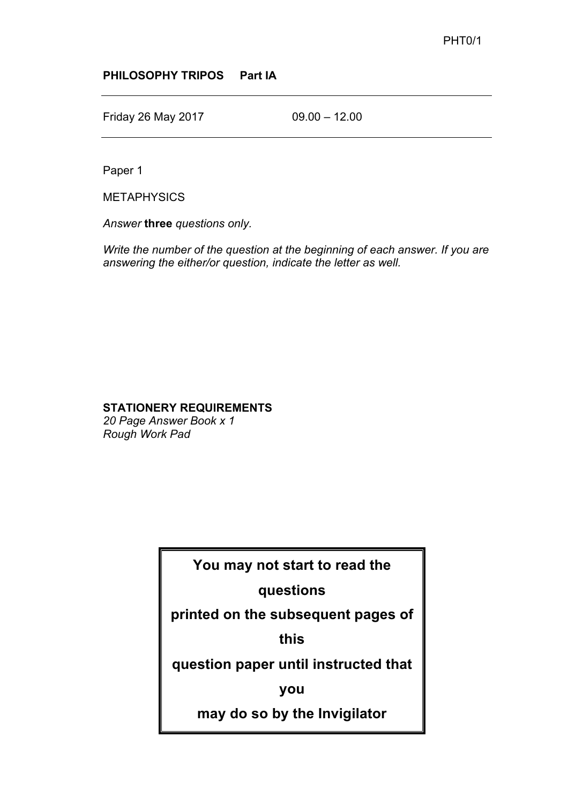## **PHILOSOPHY TRIPOS Part IA**

Friday 26 May 2017 09.00 – 12.00

Paper 1

**METAPHYSICS** 

*Answer* **three** *questions only.*

*Write the number of the question at the beginning of each answer. If you are answering the either/or question, indicate the letter as well.*

## **STATIONERY REQUIREMENTS**

*20 Page Answer Book x 1 Rough Work Pad*

**You may not start to read the** 

## **questions**

**printed on the subsequent pages of** 

**this**

**question paper until instructed that** 

**you**

**may do so by the Invigilator**